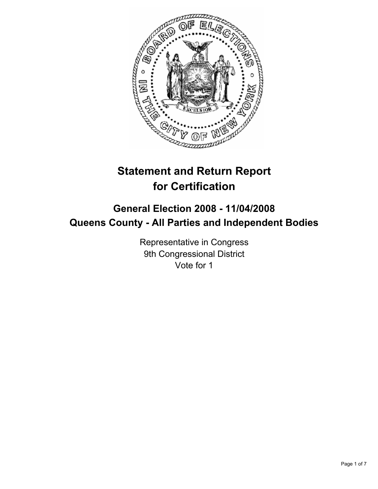

# **Statement and Return Report for Certification**

# **General Election 2008 - 11/04/2008 Queens County - All Parties and Independent Bodies**

Representative in Congress 9th Congressional District Vote for 1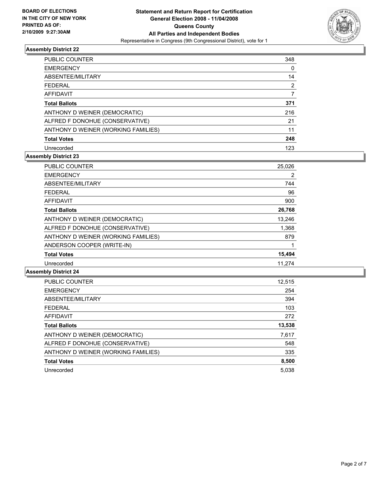

| <b>PUBLIC COUNTER</b>               | 348 |  |
|-------------------------------------|-----|--|
| <b>EMERGENCY</b>                    |     |  |
| ABSENTEE/MILITARY                   | 14  |  |
| <b>FEDERAL</b>                      | 2   |  |
| AFFIDAVIT                           |     |  |
| <b>Total Ballots</b>                | 371 |  |
| ANTHONY D WEINER (DEMOCRATIC)       | 216 |  |
| ALFRED F DONOHUE (CONSERVATIVE)     | 21  |  |
| ANTHONY D WEINER (WORKING FAMILIES) | 11  |  |
| <b>Total Votes</b>                  | 248 |  |
| Unrecorded                          | 123 |  |

# **Assembly District 23**

| PUBLIC COUNTER                      | 25,026 |  |
|-------------------------------------|--------|--|
| <b>EMERGENCY</b>                    | 2      |  |
| ABSENTEE/MILITARY                   | 744    |  |
| <b>FEDERAL</b>                      | 96     |  |
| AFFIDAVIT                           | 900    |  |
| <b>Total Ballots</b>                | 26,768 |  |
| ANTHONY D WEINER (DEMOCRATIC)       | 13.246 |  |
| ALFRED F DONOHUE (CONSERVATIVE)     | 1,368  |  |
| ANTHONY D WEINER (WORKING FAMILIES) | 879    |  |
| ANDERSON COOPER (WRITE-IN)          |        |  |
| <b>Total Votes</b>                  | 15,494 |  |
| Unrecorded                          | 11.274 |  |

| PUBLIC COUNTER                      | 12,515 |
|-------------------------------------|--------|
| <b>EMERGENCY</b>                    | 254    |
| ABSENTEE/MILITARY                   | 394    |
| <b>FEDERAL</b>                      | 103    |
| AFFIDAVIT                           | 272    |
| <b>Total Ballots</b>                | 13,538 |
| ANTHONY D WEINER (DEMOCRATIC)       | 7,617  |
| ALFRED F DONOHUE (CONSERVATIVE)     | 548    |
| ANTHONY D WEINER (WORKING FAMILIES) | 335    |
| <b>Total Votes</b>                  | 8,500  |
| Unrecorded                          | 5,038  |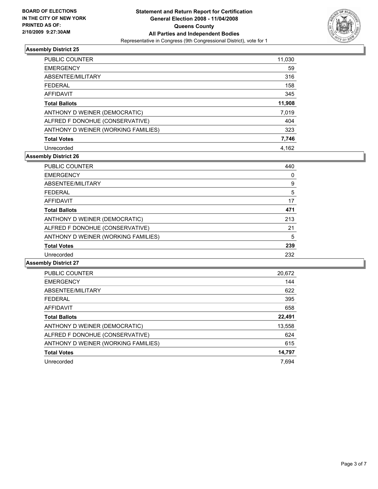

| PUBLIC COUNTER                      | 11,030 |
|-------------------------------------|--------|
| <b>EMERGENCY</b>                    | 59     |
| ABSENTEE/MILITARY                   | 316    |
| <b>FEDERAL</b>                      | 158    |
| AFFIDAVIT                           | 345    |
| <b>Total Ballots</b>                | 11,908 |
| ANTHONY D WEINER (DEMOCRATIC)       | 7,019  |
| ALFRED F DONOHUE (CONSERVATIVE)     | 404    |
| ANTHONY D WEINER (WORKING FAMILIES) | 323    |
| <b>Total Votes</b>                  | 7,746  |
| Unrecorded                          | 4.162  |

# **Assembly District 26**

| <b>PUBLIC COUNTER</b>               | 440 |  |
|-------------------------------------|-----|--|
| <b>EMERGENCY</b>                    |     |  |
| ABSENTEE/MILITARY                   | 9   |  |
| <b>FEDERAL</b>                      | 5   |  |
| AFFIDAVIT                           | 17  |  |
| <b>Total Ballots</b>                | 471 |  |
| ANTHONY D WEINER (DEMOCRATIC)       | 213 |  |
| ALFRED F DONOHUE (CONSERVATIVE)     | 21  |  |
| ANTHONY D WEINER (WORKING FAMILIES) | 5   |  |
| <b>Total Votes</b>                  | 239 |  |
| Unrecorded                          | 232 |  |

| <b>PUBLIC COUNTER</b>               | 20,672 |
|-------------------------------------|--------|
| <b>EMERGENCY</b>                    | 144    |
| ABSENTEE/MILITARY                   | 622    |
| <b>FEDERAL</b>                      | 395    |
| AFFIDAVIT                           | 658    |
| <b>Total Ballots</b>                | 22,491 |
| ANTHONY D WEINER (DEMOCRATIC)       | 13,558 |
| ALFRED F DONOHUE (CONSERVATIVE)     | 624    |
| ANTHONY D WEINER (WORKING FAMILIES) | 615    |
| <b>Total Votes</b>                  | 14,797 |
| Unrecorded                          | 7.694  |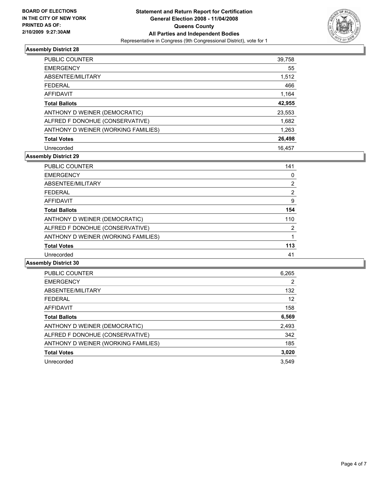

| <b>PUBLIC COUNTER</b>               | 39,758 |
|-------------------------------------|--------|
| <b>EMERGENCY</b>                    | 55     |
| ABSENTEE/MILITARY                   | 1,512  |
| <b>FEDERAL</b>                      | 466    |
| AFFIDAVIT                           | 1,164  |
| <b>Total Ballots</b>                | 42,955 |
| ANTHONY D WEINER (DEMOCRATIC)       | 23,553 |
| ALFRED F DONOHUE (CONSERVATIVE)     | 1,682  |
| ANTHONY D WEINER (WORKING FAMILIES) | 1,263  |
| <b>Total Votes</b>                  | 26,498 |
| Unrecorded                          | 16.457 |

# **Assembly District 29**

| <b>PUBLIC COUNTER</b>               | 141 |
|-------------------------------------|-----|
| <b>EMERGENCY</b>                    | 0   |
| ABSENTEE/MILITARY                   | 2   |
| <b>FEDERAL</b>                      | າ   |
| <b>AFFIDAVIT</b>                    | 9   |
| <b>Total Ballots</b>                | 154 |
| ANTHONY D WEINER (DEMOCRATIC)       | 110 |
| ALFRED F DONOHUE (CONSERVATIVE)     | 2   |
| ANTHONY D WEINER (WORKING FAMILIES) |     |
| <b>Total Votes</b>                  | 113 |
| Unrecorded                          | 41  |

| <b>PUBLIC COUNTER</b>               | 6,265 |
|-------------------------------------|-------|
| <b>EMERGENCY</b>                    | 2     |
| ABSENTEE/MILITARY                   | 132   |
| <b>FEDERAL</b>                      | 12    |
| AFFIDAVIT                           | 158   |
| <b>Total Ballots</b>                | 6,569 |
| ANTHONY D WEINER (DEMOCRATIC)       | 2,493 |
| ALFRED F DONOHUE (CONSERVATIVE)     | 342   |
| ANTHONY D WEINER (WORKING FAMILIES) | 185   |
| <b>Total Votes</b>                  | 3,020 |
| Unrecorded                          | 3.549 |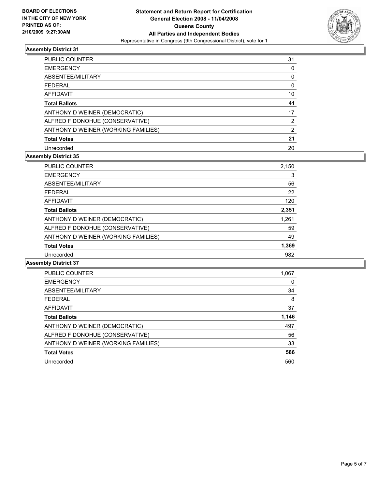

| <b>PUBLIC COUNTER</b>               | 31 |
|-------------------------------------|----|
| <b>EMERGENCY</b>                    |    |
| ABSENTEE/MILITARY                   |    |
| <b>FEDERAL</b>                      |    |
| AFFIDAVIT                           | 10 |
| <b>Total Ballots</b>                | 41 |
| ANTHONY D WEINER (DEMOCRATIC)       | 17 |
| ALFRED F DONOHUE (CONSERVATIVE)     |    |
| ANTHONY D WEINER (WORKING FAMILIES) | 2  |
| <b>Total Votes</b>                  | 21 |
| Unrecorded                          | 20 |

# **Assembly District 35**

| PUBLIC COUNTER                      | 2,150 |
|-------------------------------------|-------|
| <b>EMERGENCY</b>                    | 3     |
| ABSENTEE/MILITARY                   | 56    |
| <b>FEDERAL</b>                      | 22    |
| AFFIDAVIT                           | 120   |
| <b>Total Ballots</b>                | 2,351 |
| ANTHONY D WEINER (DEMOCRATIC)       | 1,261 |
| ALFRED F DONOHUE (CONSERVATIVE)     | 59    |
| ANTHONY D WEINER (WORKING FAMILIES) | 49    |
| <b>Total Votes</b>                  | 1,369 |
| Unrecorded                          | 982   |

| PUBLIC COUNTER                      | 1,067 |
|-------------------------------------|-------|
| <b>EMERGENCY</b>                    |       |
| ABSENTEE/MILITARY                   | 34    |
| <b>FEDERAL</b>                      | 8     |
| AFFIDAVIT                           | 37    |
| <b>Total Ballots</b>                | 1,146 |
| ANTHONY D WEINER (DEMOCRATIC)       | 497   |
| ALFRED F DONOHUE (CONSERVATIVE)     | 56    |
| ANTHONY D WEINER (WORKING FAMILIES) | 33    |
| <b>Total Votes</b>                  | 586   |
| Unrecorded                          | 560   |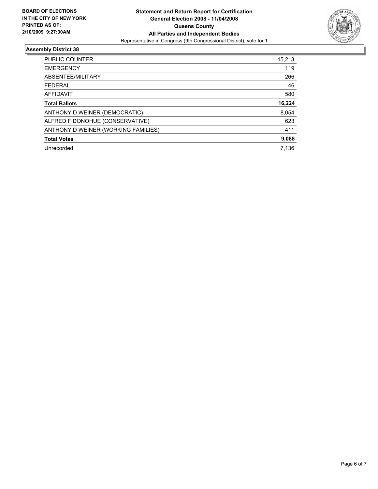

| PUBLIC COUNTER                      | 15,213 |
|-------------------------------------|--------|
| <b>EMERGENCY</b>                    | 119    |
| ABSENTEE/MILITARY                   | 266    |
| <b>FEDERAL</b>                      | 46     |
| AFFIDAVIT                           | 580    |
| <b>Total Ballots</b>                | 16,224 |
| ANTHONY D WEINER (DEMOCRATIC)       | 8,054  |
| ALFRED F DONOHUE (CONSERVATIVE)     | 623    |
| ANTHONY D WEINER (WORKING FAMILIES) | 411    |
| <b>Total Votes</b>                  | 9,088  |
| Unrecorded                          | 7.136  |